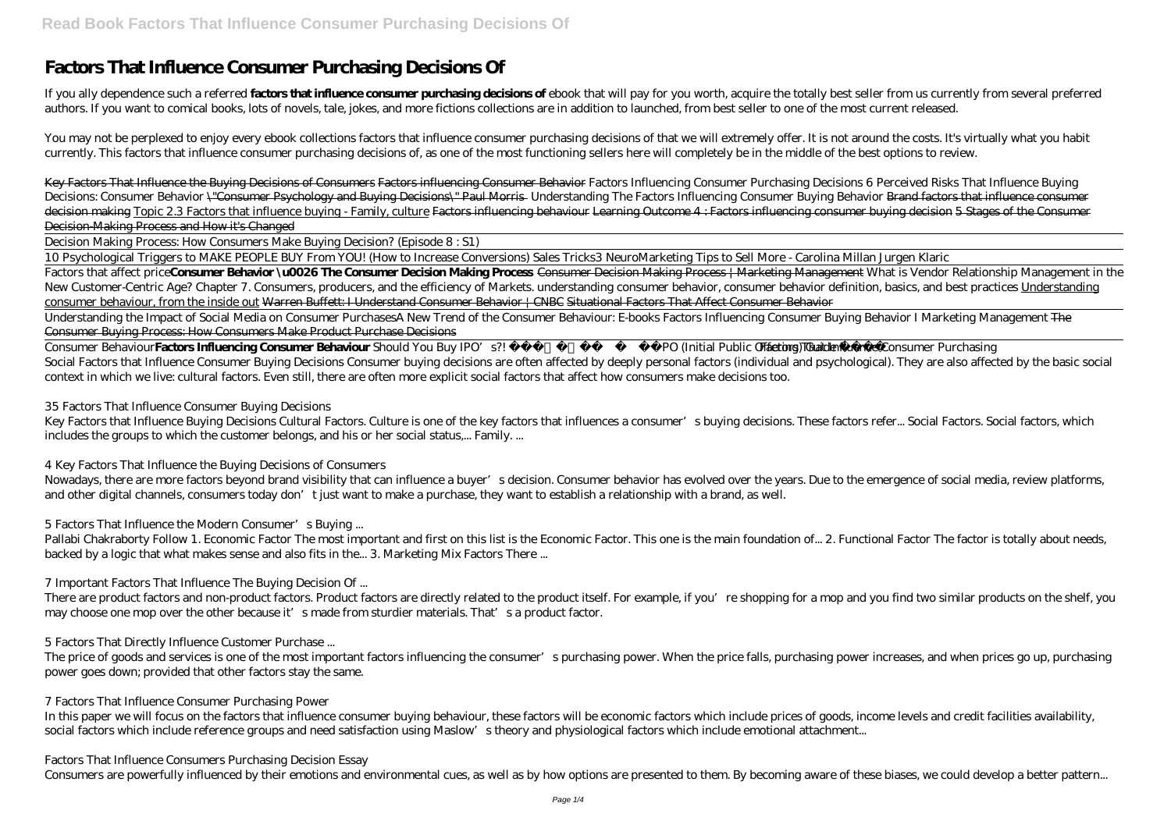# **Factors That Influence Consumer Purchasing Decisions Of**

If you ally dependence such a referred **factors that influence consumer purchasing decisions of** ebook that will pay for you worth, acquire the totally best seller from us currently from several preferred authors. If you want to comical books, lots of novels, tale, jokes, and more fictions collections are in addition to launched, from best seller to one of the most current released.

You may not be perplexed to enjoy every ebook collections factors that influence consumer purchasing decisions of that we will extremely offer. It is not around the costs. It's virtually what you habit currently. This factors that influence consumer purchasing decisions of, as one of the most functioning sellers here will completely be in the middle of the best options to review.

Key Factors That Influence the Buying Decisions of Consumers Factors influencing Consumer Behavior *Factors Influencing Consumer Purchasing Decisions 6 Perceived Risks That Influence Buying Decisions: Consumer Behavior* \"Consumer Psychology and Buying Decisions\" Paul Morris *Understanding The Factors Influencing Consumer Buying Behavior* Brand factors that influence consumer decision making Topic 2.3 Factors that influence buying - Family, culture <del>Factors influencing Outcome 4: Factors influencing consumer buying decision 5 Stages of the Consumer</del> Decision-Making Process and How it's Changed

Decision Making Process: How Consumers Make Buying Decision? (Episode 8 : S1)

Nowadays, there are more factors beyond brand visibility that can influence a buyer's decision. Consumer behavior has evolved over the years. Due to the emergence of social media, review platforms, and other digital channels, consumers today don't just want to make a purchase, they want to establish a relationship with a brand, as well.

10 Psychological Triggers to MAKE PEOPLE BUY From YOU! (How to Increase Conversions) Sales Tricks*3 NeuroMarketing Tips to Sell More - Carolina Millan Jurgen Klaric* Factors that affect priceConsumer Behavior \u0026 The Consumer Decision Making Process + Marketing Management *What is Vendor Relationship Management in the New Customer-Centric Age? Chapter 7. Consumers, producers, and the efficiency of Markets. understanding consumer behavior, consumer behavior definition, basics, and best practices* Understanding consumer behaviour, from the inside out Warren Buffett: I Understand Consumer Behavior | CNBC Situational Factors That Affect Consumer Behavior

Pallabi Chakraborty Follow 1. Economic Factor The most important and first on this list is the Economic Factor. This one is the main foundation of... 2. Functional Factor The factor is totally about needs, backed by a logic that what makes sense and also fits in the... 3. Marketing Mix Factors There ...

Understanding the Impact of Social Media on Consumer Purchases*A New Trend of the Consumer Behaviour: E-books Factors Influencing Consumer Buying Behavior I Marketing Management* The Consumer Buying Process: How Consumers Make Product Purchase Decisions

The price of goods and services is one of the most important factors influencing the consumer's purchasing power. When the price falls, purchasing power increases, and when prices go up, purchasing power goes down; provided that other factors stay the same.

In this paper we will focus on the factors that influence consumer buying behaviour, these factors will be economic factors which include prices of goods, income levels and credit facilities availability, social factors which include reference groups and need satisfaction using Maslow's theory and physiological factors which include emotional attachment...

Consumer Behaviour**Factors Influencing Consumer Behaviour** *Should You Buy IPO's?! | 2020 IPO (Initial Public Offering) Guide Factors That Influence Consumer Purchasing* Social Factors that Influence Consumer Buying Decisions Consumer buying decisions are often affected by deeply personal factors (individual and psychological). They are also affected by the basic social context in which we live: cultural factors. Even still, there are often more explicit social factors that affect how consumers make decisions too.

#### *35 Factors That Influence Consumer Buying Decisions*

Key Factors that Influence Buying Decisions Cultural Factors. Culture is one of the key factors that influences a consumer's buying decisions. These factors refer... Social Factors. Social factors, which includes the groups to which the customer belongs, and his or her social status,... Family. ...

### *4 Key Factors That Influence the Buying Decisions of Consumers*

### *5 Factors That Influence the Modern Consumer's Buying ...*

### *7 Important Factors That Influence The Buying Decision Of ...*

There are product factors and non-product factors. Product factors are directly related to the product itself. For example, if you're shopping for a mop and you find two similar products on the shelf, you may choose one mop over the other because it's made from sturdier materials. That's a product factor.

### *5 Factors That Directly Influence Customer Purchase ...*

### *7 Factors That Influence Consumer Purchasing Power*

#### *Factors That Influence Consumers Purchasing Decision Essay*

Consumers are powerfully influenced by their emotions and environmental cues, as well as by how options are presented to them. By becoming aware of these biases, we could develop a better pattern...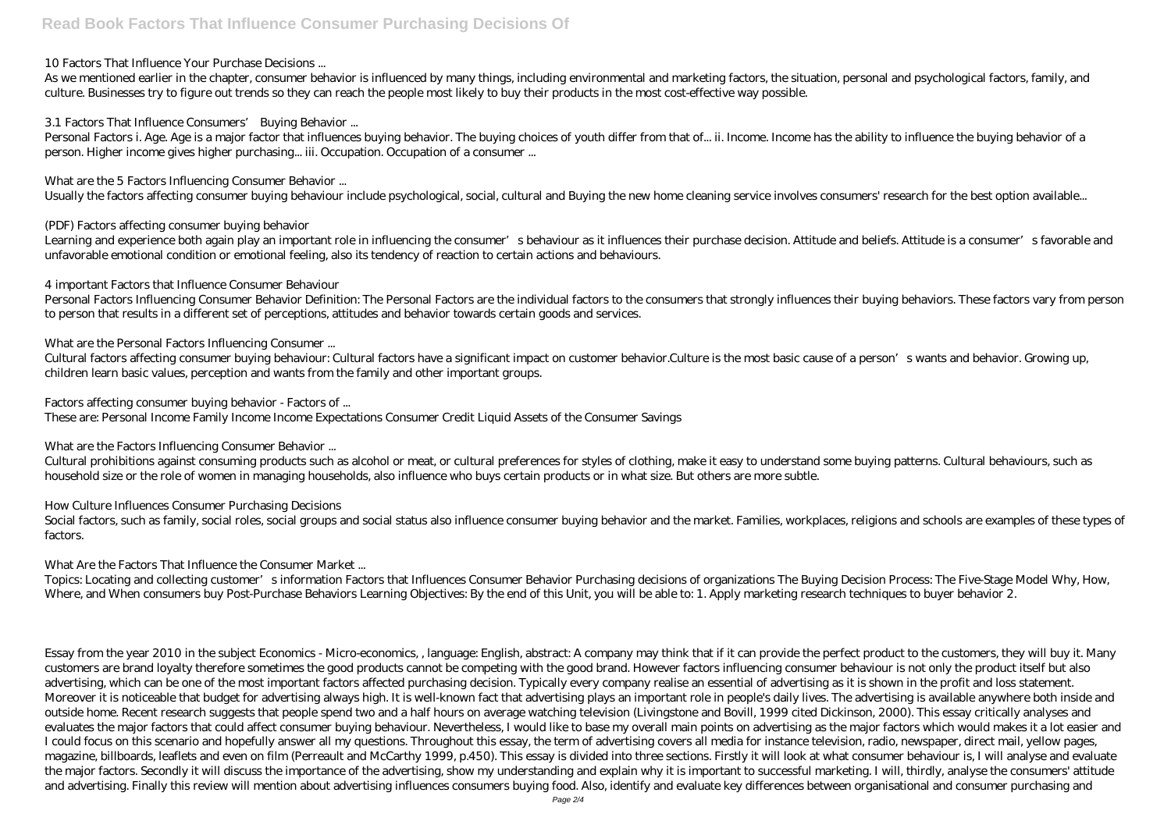#### *10 Factors That Influence Your Purchase Decisions ...*

As we mentioned earlier in the chapter, consumer behavior is influenced by many things, including environmental and marketing factors, the situation, personal and psychological factors, family, and culture. Businesses try to figure out trends so they can reach the people most likely to buy their products in the most cost-effective way possible.

Personal Factors i. Age. Age is a major factor that influences buying behavior. The buying choices of youth differ from that of... ii. Income. Income has the ability to influence the buying behavior of a person. Higher income gives higher purchasing... iii. Occupation. Occupation of a consumer ...

#### *3.1 Factors That Influence Consumers' Buying Behavior ...*

Learning and experience both again play an important role in influencing the consumer's behaviour as it influences their purchase decision. Attitude and beliefs. Attitude is a consumer's favorable and unfavorable emotional condition or emotional feeling, also its tendency of reaction to certain actions and behaviours.

#### *What are the 5 Factors Influencing Consumer Behavior ...*

Usually the factors affecting consumer buying behaviour include psychological, social, cultural and Buying the new home cleaning service involves consumers' research for the best option available...

#### *(PDF) Factors affecting consumer buying behavior*

#### *4 important Factors that Influence Consumer Behaviour*

Social factors, such as family, social roles, social groups and social status also influence consumer buying behavior and the market. Families, workplaces, religions and schools are examples of these types of factors.

Topics: Locating and collecting customer's information Factors that Influences Consumer Behavior Purchasing decisions of organizations The Buying Decision Process: The Five-Stage Model Why, How, Where, and When consumers buy Post-Purchase Behaviors Learning Objectives: By the end of this Unit, you will be able to: 1. Apply marketing research techniques to buyer behavior 2.

Personal Factors Influencing Consumer Behavior Definition: The Personal Factors are the individual factors to the consumers that strongly influences their buying behaviors. These factors vary from person to person that results in a different set of perceptions, attitudes and behavior towards certain goods and services.

#### *What are the Personal Factors Influencing Consumer ...*

Cultural factors affecting consumer buying behaviour: Cultural factors have a significant impact on customer behavior.Culture is the most basic cause of a person's wants and behavior. Growing up, children learn basic values, perception and wants from the family and other important groups.

#### *Factors affecting consumer buying behavior - Factors of ...*

These are: Personal Income Family Income Income Expectations Consumer Credit Liquid Assets of the Consumer Savings

### *What are the Factors Influencing Consumer Behavior ...*

Cultural prohibitions against consuming products such as alcohol or meat, or cultural preferences for styles of clothing, make it easy to understand some buying patterns. Cultural behaviours, such as household size or the role of women in managing households, also influence who buys certain products or in what size. But others are more subtle.

### *How Culture Influences Consumer Purchasing Decisions*

### *What Are the Factors That Influence the Consumer Market ...*

Essay from the year 2010 in the subject Economics - Micro-economics, , language: English, abstract: A company may think that if it can provide the perfect product to the customers, they will buy it. Many customers are brand loyalty therefore sometimes the good products cannot be competing with the good brand. However factors influencing consumer behaviour is not only the product itself but also advertising, which can be one of the most important factors affected purchasing decision. Typically every company realise an essential of advertising as it is shown in the profit and loss statement. Moreover it is noticeable that budget for advertising always high. It is well-known fact that advertising plays an important role in people's daily lives. The advertising is available anywhere both inside and outside home. Recent research suggests that people spend two and a half hours on average watching television (Livingstone and Bovill, 1999 cited Dickinson, 2000). This essay critically analyses and evaluates the major factors that could affect consumer buying behaviour. Nevertheless, I would like to base my overall main points on advertising as the major factors which would makes it a lot easier and I could focus on this scenario and hopefully answer all my questions. Throughout this essay, the term of advertising covers all media for instance television, radio, newspaper, direct mail, yellow pages, magazine, billboards, leaflets and even on film (Perreault and McCarthy 1999, p.450). This essay is divided into three sections. Firstly it will look at what consumer behaviour is, I will analyse and evaluate the major factors. Secondly it will discuss the importance of the advertising, show my understanding and explain why it is important to successful marketing. I will, thirdly, analyse the consumers' attitude and advertising. Finally this review will mention about advertising influences consumers buying food. Also, identify and evaluate key differences between organisational and consumer purchasing and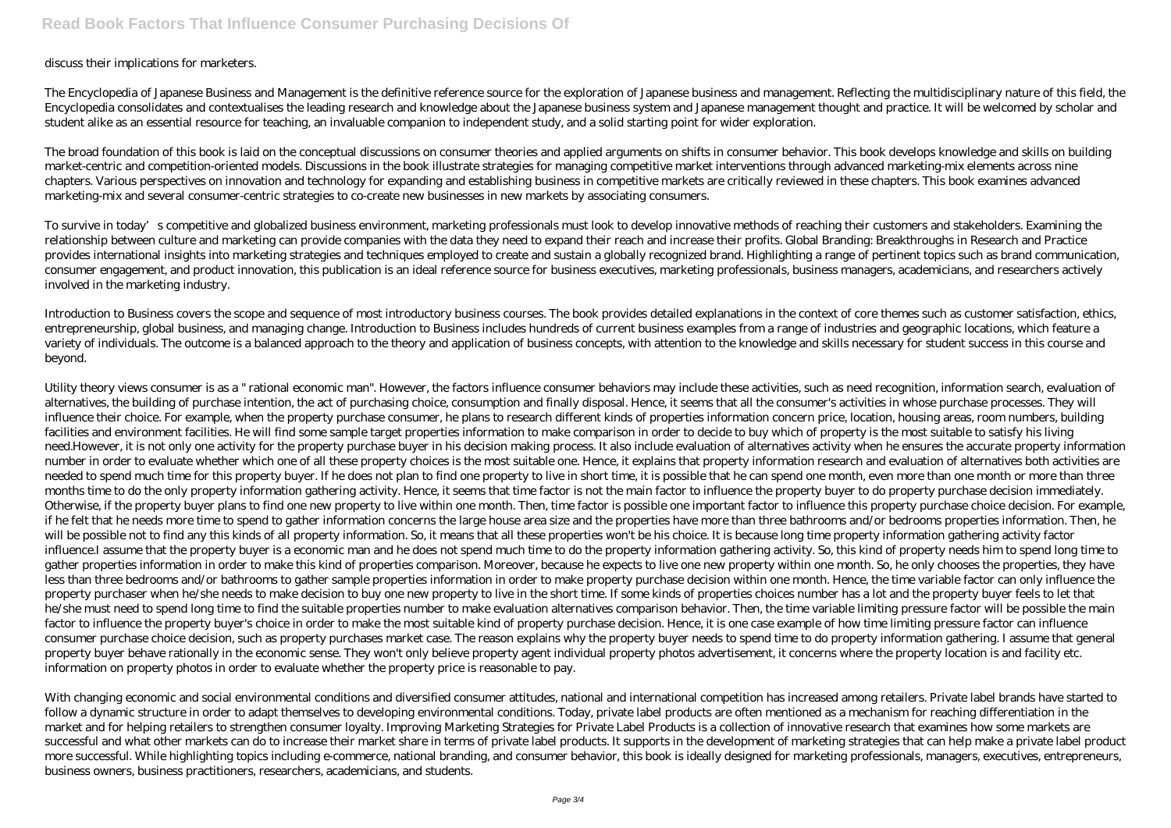discuss their implications for marketers.

The Encyclopedia of Japanese Business and Management is the definitive reference source for the exploration of Japanese business and management. Reflecting the multidisciplinary nature of this field, the Encyclopedia consolidates and contextualises the leading research and knowledge about the Japanese business system and Japanese management thought and practice. It will be welcomed by scholar and student alike as an essential resource for teaching, an invaluable companion to independent study, and a solid starting point for wider exploration.

The broad foundation of this book is laid on the conceptual discussions on consumer theories and applied arguments on shifts in consumer behavior. This book develops knowledge and skills on building market-centric and competition-oriented models. Discussions in the book illustrate strategies for managing competitive market interventions through advanced marketing-mix elements across nine chapters. Various perspectives on innovation and technology for expanding and establishing business in competitive markets are critically reviewed in these chapters. This book examines advanced marketing-mix and several consumer-centric strategies to co-create new businesses in new markets by associating consumers.

To survive in today's competitive and globalized business environment, marketing professionals must look to develop innovative methods of reaching their customers and stakeholders. Examining the relationship between culture and marketing can provide companies with the data they need to expand their reach and increase their profits. Global Branding: Breakthroughs in Research and Practice provides international insights into marketing strategies and techniques employed to create and sustain a globally recognized brand. Highlighting a range of pertinent topics such as brand communication, consumer engagement, and product innovation, this publication is an ideal reference source for business executives, marketing professionals, business managers, academicians, and researchers actively involved in the marketing industry.

Introduction to Business covers the scope and sequence of most introductory business courses. The book provides detailed explanations in the context of core themes such as customer satisfaction, ethics, entrepreneurship, global business, and managing change. Introduction to Business includes hundreds of current business examples from a range of industries and geographic locations, which feature a variety of individuals. The outcome is a balanced approach to the theory and application of business concepts, with attention to the knowledge and skills necessary for student success in this course and beyond.

With changing economic and social environmental conditions and diversified consumer attitudes, national and international competition has increased among retailers. Private label brands have started to follow a dynamic structure in order to adapt themselves to developing environmental conditions. Today, private label products are often mentioned as a mechanism for reaching differentiation in the market and for helping retailers to strengthen consumer loyalty. Improving Marketing Strategies for Private Label Products is a collection of innovative research that examines how some markets are successful and what other markets can do to increase their market share in terms of private label products. It supports in the development of marketing strategies that can help make a private label product more successful. While highlighting topics including e-commerce, national branding, and consumer behavior, this book is ideally designed for marketing professionals, managers, executives, entrepreneurs, business owners, business practitioners, researchers, academicians, and students.

Utility theory views consumer is as a " rational economic man". However, the factors influence consumer behaviors may include these activities, such as need recognition, information search, evaluation of alternatives, the building of purchase intention, the act of purchasing choice, consumption and finally disposal. Hence, it seems that all the consumer's activities in whose purchase processes. They will influence their choice. For example, when the property purchase consumer, he plans to research different kinds of properties information concern price, location, housing areas, room numbers, building facilities and environment facilities. He will find some sample target properties information to make comparison in order to decide to buy which of property is the most suitable to satisfy his living need.However, it is not only one activity for the property purchase buyer in his decision making process. It also include evaluation of alternatives activity when he ensures the accurate property information number in order to evaluate whether which one of all these property choices is the most suitable one. Hence, it explains that property information research and evaluation of alternatives both activities are needed to spend much time for this property buyer. If he does not plan to find one property to live in short time, it is possible that he can spend one month, even more than one month or more than three months time to do the only property information gathering activity. Hence, it seems that time factor is not the main factor to influence the property buyer to do property purchase decision immediately. Otherwise, if the property buyer plans to find one new property to live within one month. Then, time factor is possible one important factor to influence this property purchase choice decision. For example, if he felt that he needs more time to spend to gather information concerns the large house area size and the properties have more than three bathrooms and/or bedrooms properties information. Then, he will be possible not to find any this kinds of all property information. So, it means that all these properties won't be his choice. It is because long time property information gathering activity factor influence.I assume that the property buyer is a economic man and he does not spend much time to do the property information gathering activity. So, this kind of property needs him to spend long time to gather properties information in order to make this kind of properties comparison. Moreover, because he expects to live one new property within one month. So, he only chooses the properties, they have less than three bedrooms and/or bathrooms to gather sample properties information in order to make property purchase decision within one month. Hence, the time variable factor can only influence the property purchaser when he/she needs to make decision to buy one new property to live in the short time. If some kinds of properties choices number has a lot and the property buyer feels to let that he/she must need to spend long time to find the suitable properties number to make evaluation alternatives comparison behavior. Then, the time variable limiting pressure factor will be possible the main factor to influence the property buyer's choice in order to make the most suitable kind of property purchase decision. Hence, it is one case example of how time limiting pressure factor can influence consumer purchase choice decision, such as property purchases market case. The reason explains why the property buyer needs to spend time to do property information gathering. I assume that general property buyer behave rationally in the economic sense. They won't only believe property agent individual property photos advertisement, it concerns where the property location is and facility etc. information on property photos in order to evaluate whether the property price is reasonable to pay.